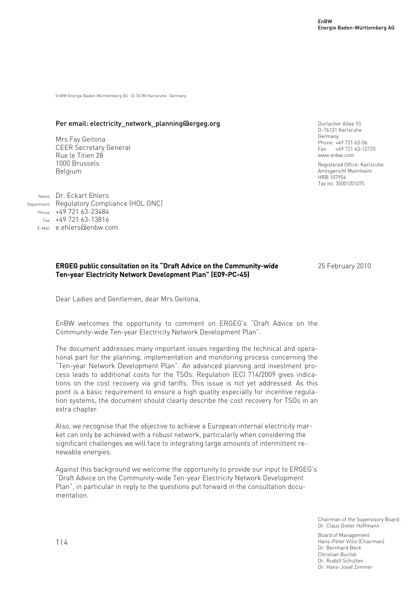EnBW Energie Baden-Württemberg AG · D-76180 Karlsruhe · Germany

### Per email: electricity\_network\_planning@ergeg.org

Mrs Fay Geitona CEER Secretary General Rue le Titien 28 1000 Brussels Belgium

Name Dr. Eckart Ehlers Department Regulatory Compliance (HOL ONC) Phone  $+49\,721\,63-23484$ Fax +49 721 63-13816 E-Mail e.ehlers@enbw.com

# ERGEG public consultation on its "Draft Advice on the Community-wide Ten-year Electricity Network Development Plan" (E09-PC-45)

25 February 2010

Durlacher Allee 93 D-76131 Karlsruhe Germany

Phone +49 721 63-06 Fax +49 721 63-12725 www.enbw.com

HRB 107956 Tax no. 35001/01075

Registered Office: Karlsruhe Amtsgericht Mannheim

Dear Ladies and Gentlemen, dear Mrs Geitona,

EnBW welcomes the opportunity to comment on ERGEG's "Draft Advice on the Community-wide Ten-year Electricity Network Development Plan".

The document addresses many important issues regarding the technical and operational part for the planning, implementation and monitoring process concerning the "Ten-year Network Development Plan". An advanced planning and investment process leads to additional costs for the TSOs. Regulation (EC) 714/2009 gives indications on the cost recovery via grid tariffs. This issue is not yet addressed. As this point is a basic requirement to ensure a high quality especially for incentive regulation systems, the document should clearly describe the cost recovery for TSOs in an extra chapter.

Also, we recognise that the objective to achieve a European internal electricity market can only be achieved with a robust network, particularly when considering the significant challenges we will face to integrating large amounts of intermittent renewable energies.

Against this background we welcome the opportunity to provide our input to ERGEG's "Draft Advice on the Community-wide Ten-year Electricity Network Development Plan", in particular in reply to the questions put forward in the consultation documentation.

> Chairman of the Supervisory Board: Dr. Claus Dieter Hoffmann

Board of Management: Hans-Peter Villis (Chairman) Dr. Bernhard Beck Christian Buchel Dr. Rudolf Schulten Dr. Hans-Josef Zimmer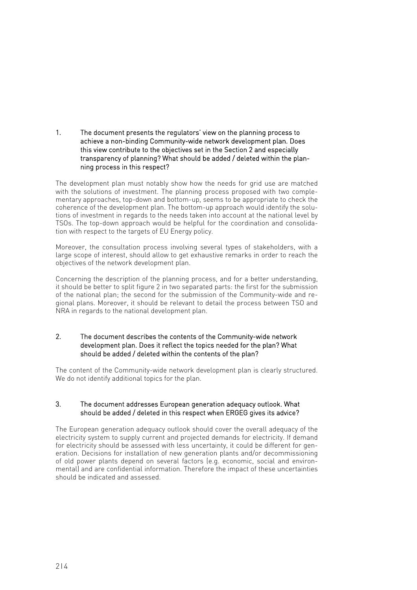1. The document presents the regulators' view on the planning process to achieve a non-binding Community-wide network development plan. Does this view contribute to the objectives set in the Section 2 and especially transparency of planning? What should be added / deleted within the planning process in this respect?

The development plan must notably show how the needs for grid use are matched with the solutions of investment. The planning process proposed with two complementary approaches, top-down and bottom-up, seems to be appropriate to check the coherence of the development plan. The bottom-up approach would identify the solutions of investment in regards to the needs taken into account at the national level by TSOs. The top-down approach would be helpful for the coordination and consolidation with respect to the targets of EU Energy policy.

Moreover, the consultation process involving several types of stakeholders, with a large scope of interest, should allow to get exhaustive remarks in order to reach the objectives of the network development plan.

Concerning the description of the planning process, and for a better understanding, it should be better to split figure 2 in two separated parts: the first for the submission of the national plan; the second for the submission of the Community-wide and regional plans. Moreover, it should be relevant to detail the process between TSO and NRA in regards to the national development plan.

## 2. The document describes the contents of the Community-wide network development plan. Does it reflect the topics needed for the plan? What should be added / deleted within the contents of the plan?

The content of the Community-wide network development plan is clearly structured. We do not identify additional topics for the plan.

## 3. The document addresses European generation adequacy outlook. What should be added / deleted in this respect when ERGEG gives its advice?

The European generation adequacy outlook should cover the overall adequacy of the electricity system to supply current and projected demands for electricity. If demand for electricity should be assessed with less uncertainty, it could be different for generation. Decisions for installation of new generation plants and/or decommissioning of old power plants depend on several factors (e.g. economic, social and environmental) and are confidential information. Therefore the impact of these uncertainties should be indicated and assessed.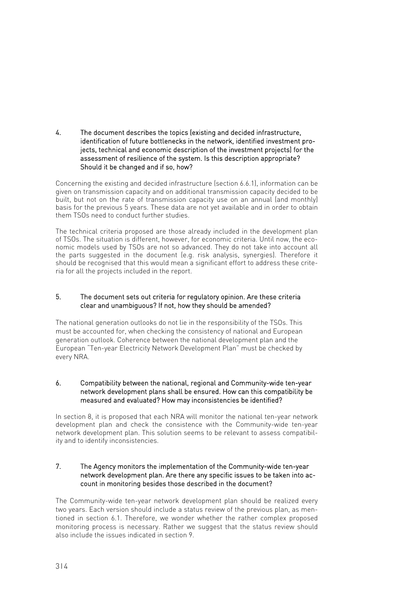4. The document describes the topics (existing and decided infrastructure, identification of future bottlenecks in the network, identified investment projects, technical and economic description of the investment projects) for the assessment of resilience of the system. Is this description appropriate? Should it be changed and if so, how?

Concerning the existing and decided infrastructure (section 6.6.1), information can be given on transmission capacity and on additional transmission capacity decided to be built, but not on the rate of transmission capacity use on an annual (and monthly) basis for the previous 5 years. These data are not yet available and in order to obtain them TSOs need to conduct further studies.

The technical criteria proposed are those already included in the development plan of TSOs. The situation is different, however, for economic criteria. Until now, the economic models used by TSOs are not so advanced. They do not take into account all the parts suggested in the document (e.g. risk analysis, synergies). Therefore it should be recognised that this would mean a significant effort to address these criteria for all the projects included in the report.

## 5. The document sets out criteria for regulatory opinion. Are these criteria clear and unambiguous? If not, how they should be amended?

The national generation outlooks do not lie in the responsibility of the TSOs. This must be accounted for, when checking the consistency of national and European generation outlook. Coherence between the national development plan and the European "Ten-year Electricity Network Development Plan" must be checked by every NRA.

### 6. Compatibility between the national, regional and Community-wide ten-year network development plans shall be ensured. How can this compatibility be measured and evaluated? How may inconsistencies be identified?

In section 8, it is proposed that each NRA will monitor the national ten-year network development plan and check the consistence with the Community-wide ten-year network development plan. This solution seems to be relevant to assess compatibility and to identify inconsistencies.

## 7. The Agency monitors the implementation of the Community-wide ten-year network development plan. Are there any specific issues to be taken into account in monitoring besides those described in the document?

The Community-wide ten-year network development plan should be realized every two years. Each version should include a status review of the previous plan, as mentioned in section 6.1. Therefore, we wonder whether the rather complex proposed monitoring process is necessary. Rather we suggest that the status review should also include the issues indicated in section 9.